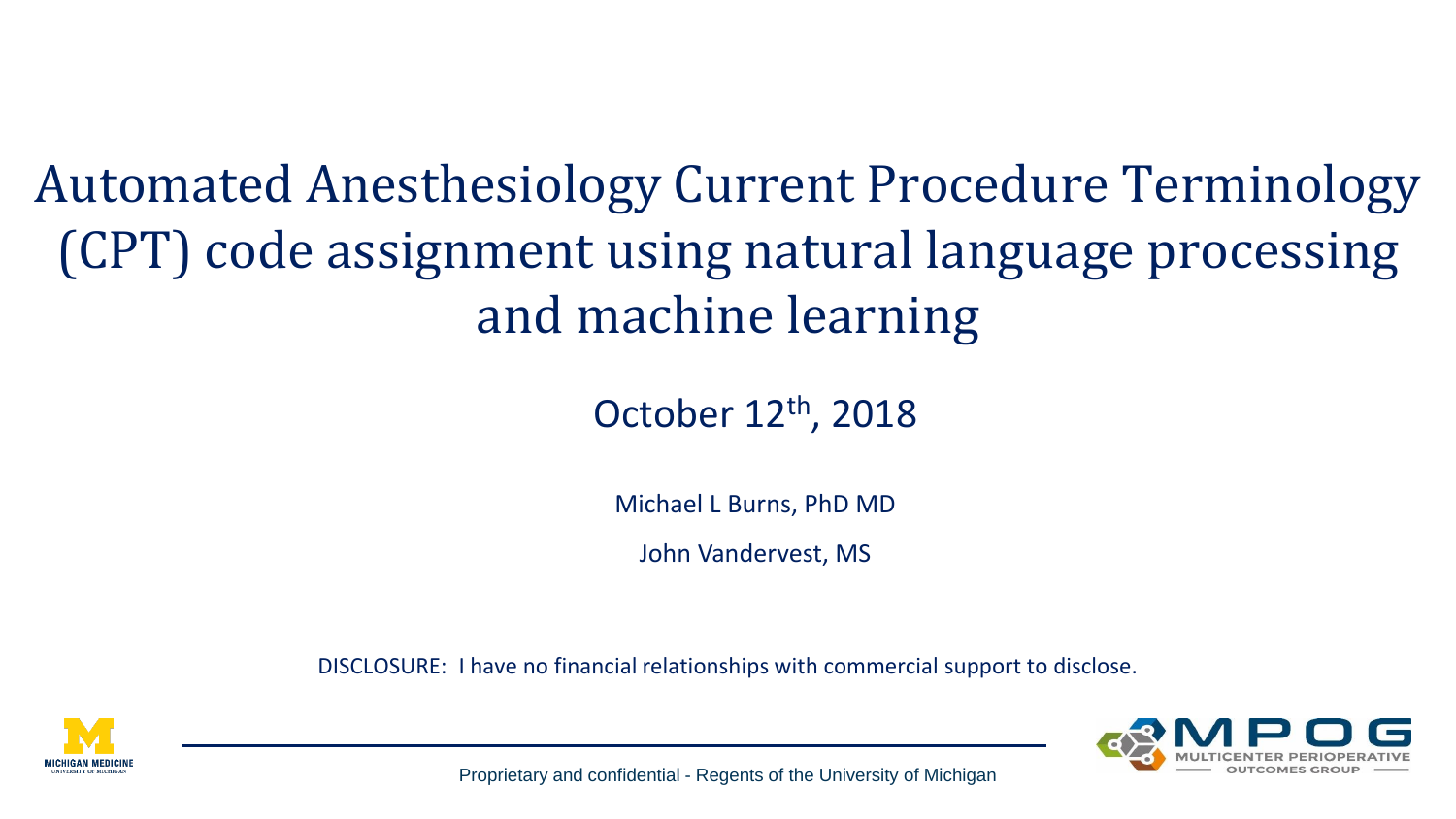Automated Anesthesiology Current Procedure Terminology (CPT) code assignment using natural language processing and machine learning

### October 12th, 2018

Michael L Burns, PhD MD

John Vandervest, MS

DISCLOSURE: I have no financial relationships with commercial support to disclose.



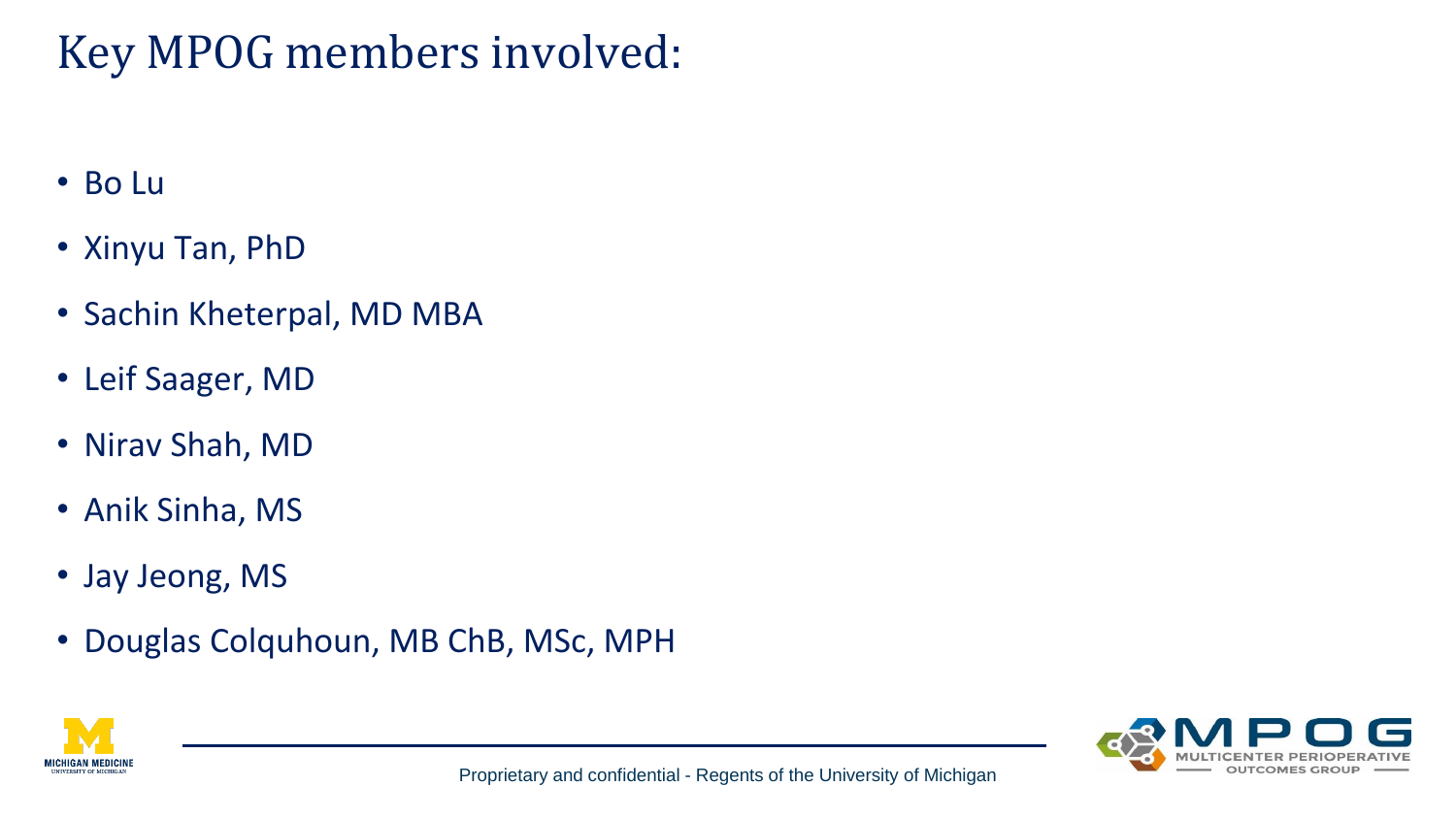## Key MPOG members involved:

- Bo Lu
- Xinyu Tan, PhD
- Sachin Kheterpal, MD MBA
- Leif Saager, MD
- Nirav Shah, MD
- Anik Sinha, MS
- Jay Jeong, MS
- Douglas Colquhoun, MB ChB, MSc, MPH



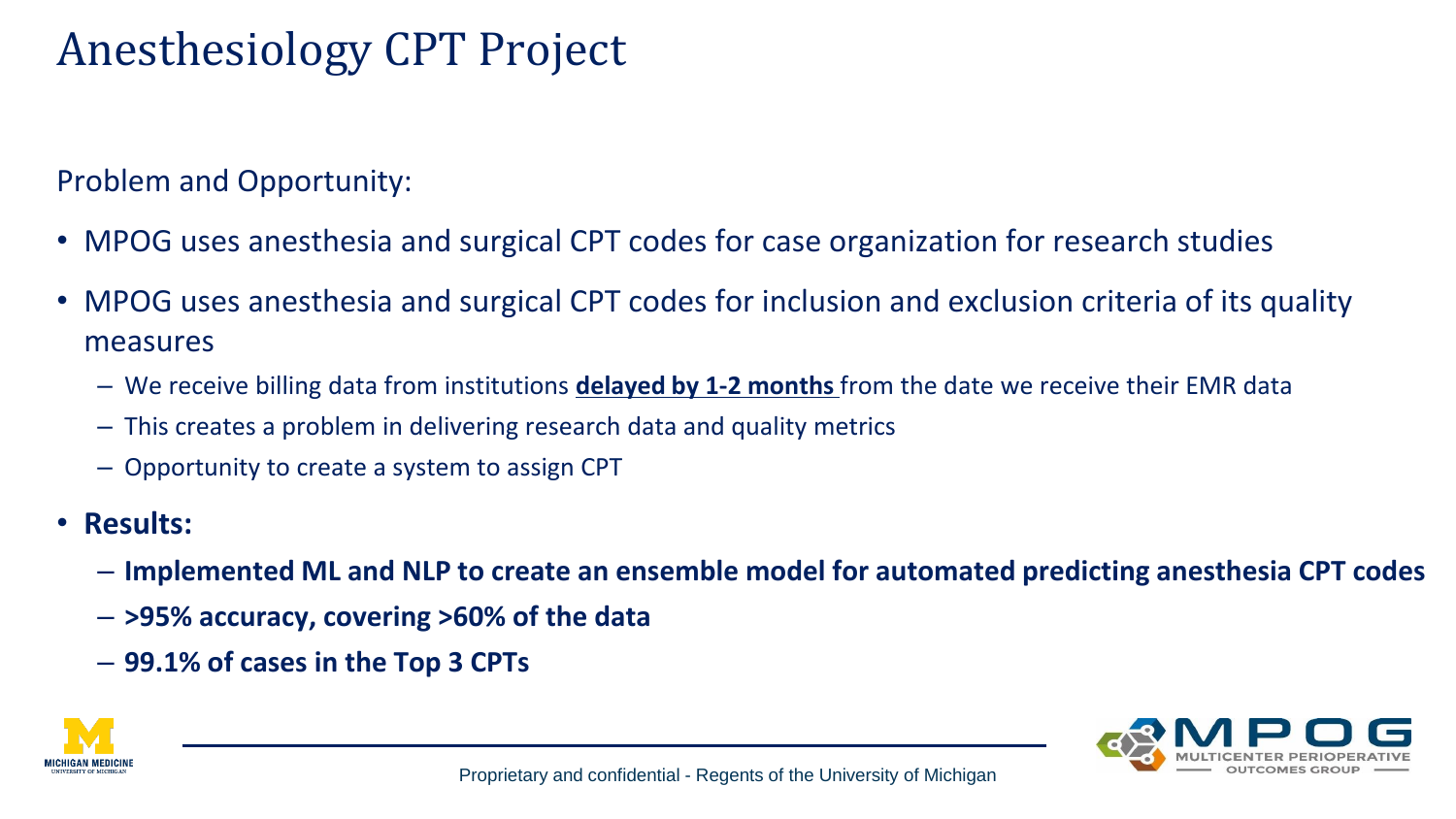## Anesthesiology CPT Project

Problem and Opportunity:

- MPOG uses anesthesia and surgical CPT codes for case organization for research studies
- MPOG uses anesthesia and surgical CPT codes for inclusion and exclusion criteria of its quality measures
	- We receive billing data from institutions **delayed by 1-2 months** from the date we receive their EMR data
	- This creates a problem in delivering research data and quality metrics
	- Opportunity to create a system to assign CPT
- **Results:**
	- **Implemented ML and NLP to create an ensemble model for automated predicting anesthesia CPT codes**
	- **>95% accuracy, covering >60% of the data**
	- **99.1% of cases in the Top 3 CPTs**



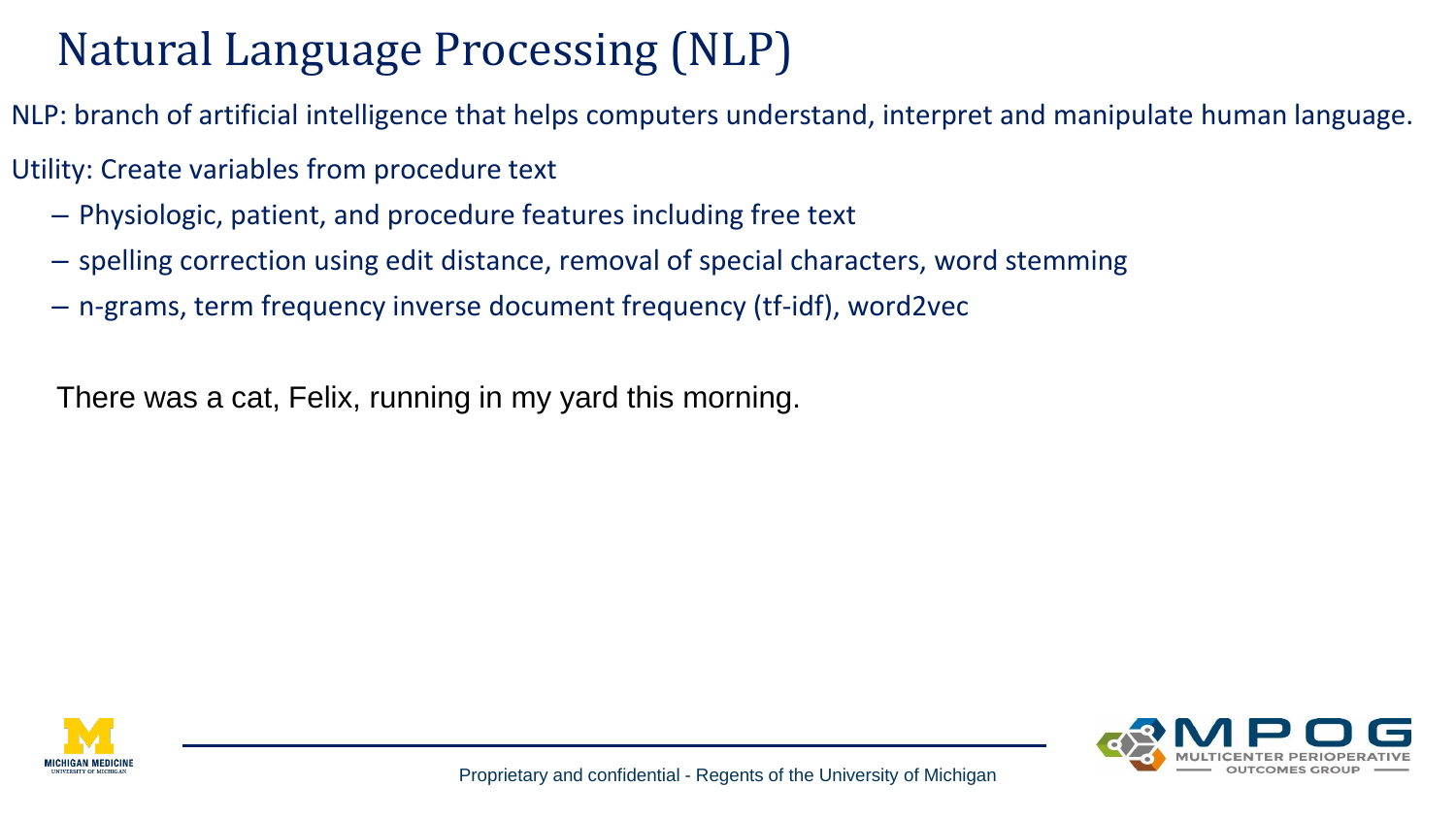# Natural Language Processing (NLP)

- NLP: branch of artificial intelligence that helps computers understand, interpret and manipulate human language.
- Utility: Create variables from procedure text
	- Physiologic, patient, and procedure features including free text
	- spelling correction using edit distance, removal of special characters, word stemming
	- n-grams, term frequency inverse document frequency (tf-idf), word2vec

There was a cat, Felix, running in my yard this morning.



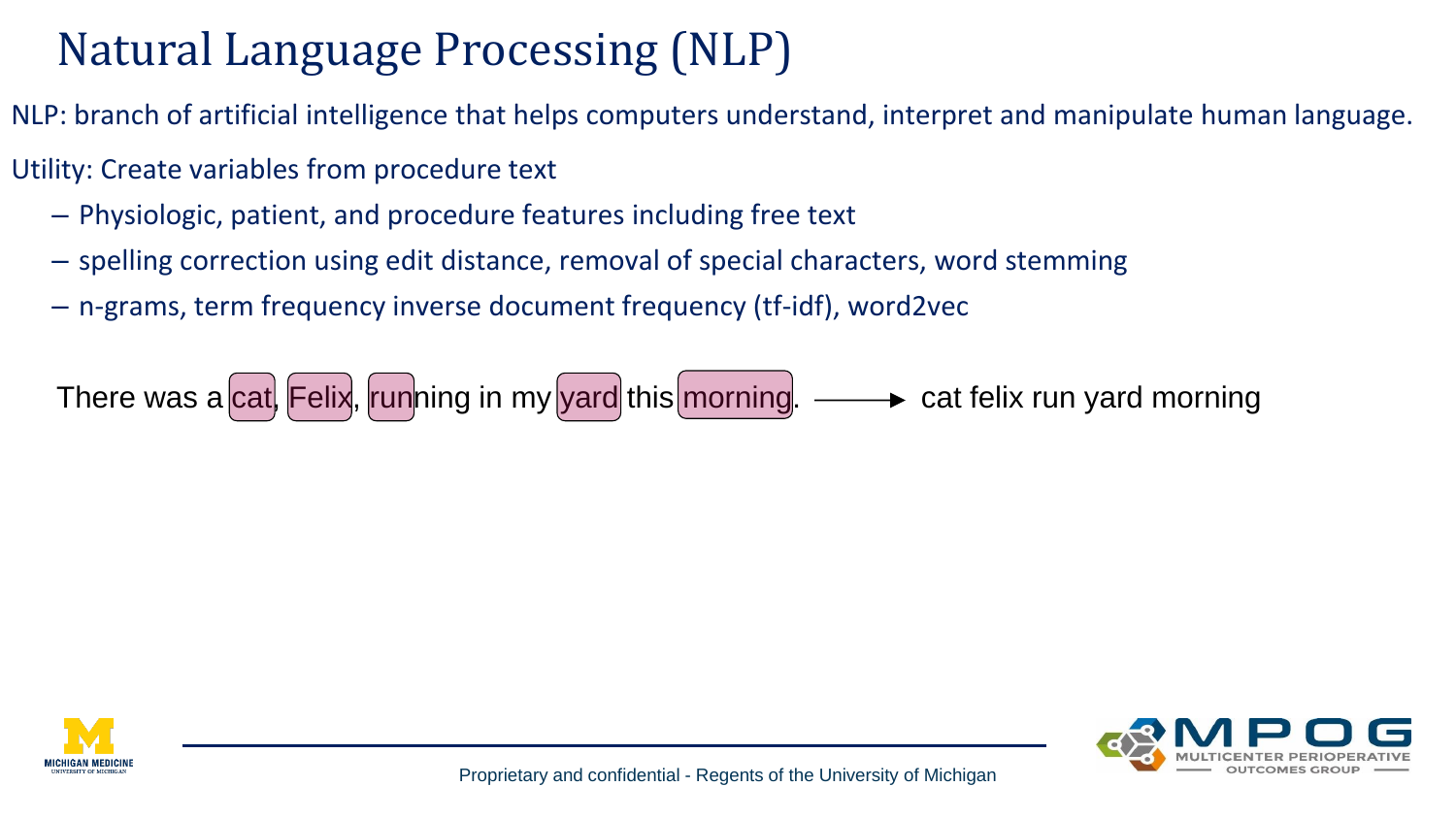# Natural Language Processing (NLP)

- NLP: branch of artificial intelligence that helps computers understand, interpret and manipulate human language.
- Utility: Create variables from procedure text
	- Physiologic, patient, and procedure features including free text
	- spelling correction using edit distance, removal of special characters, word stemming
	- n-grams, term frequency inverse document frequency (tf-idf), word2vec





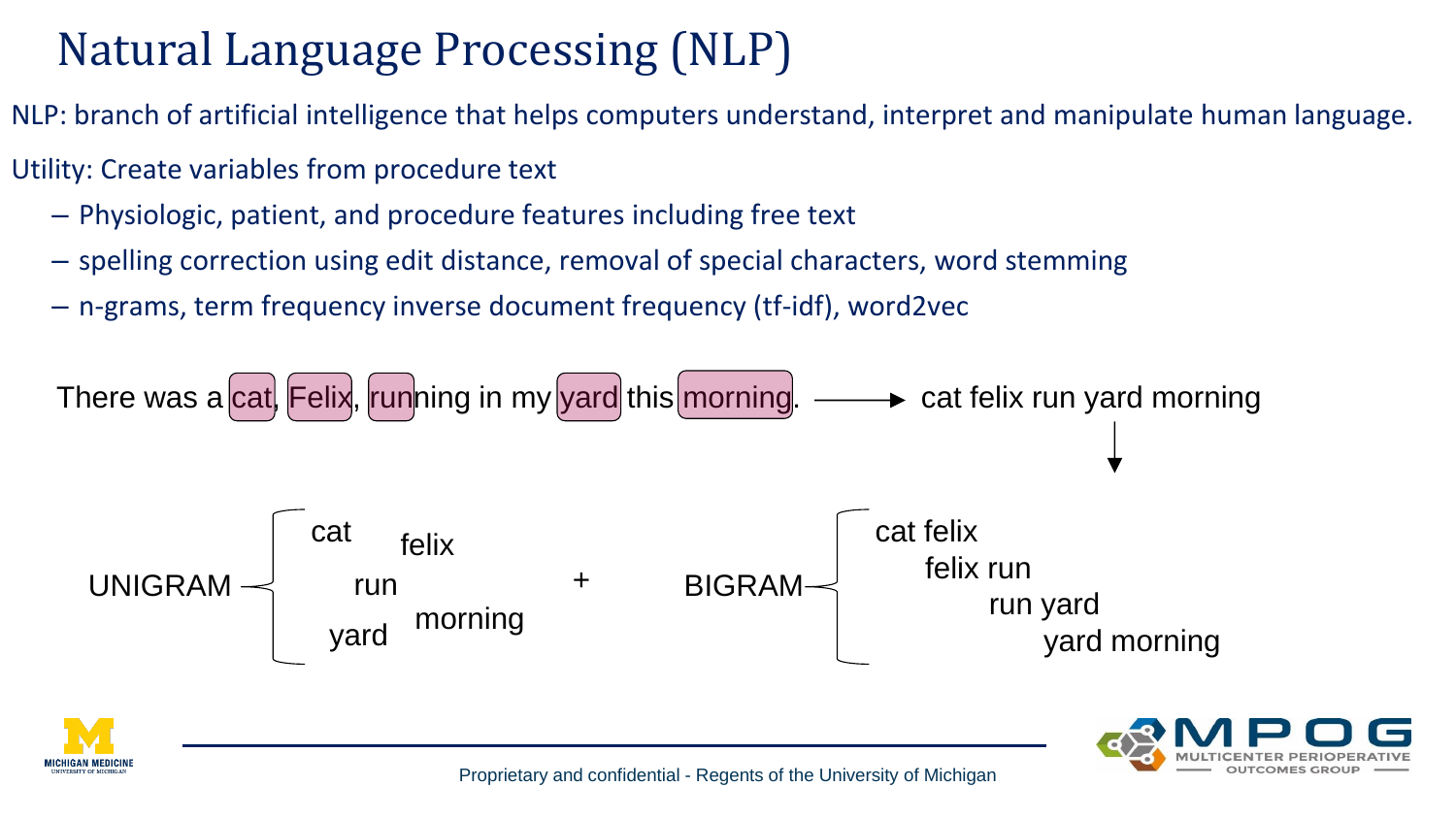# Natural Language Processing (NLP)

NLP: branch of artificial intelligence that helps computers understand, interpret and manipulate human language.

- Utility: Create variables from procedure text
	- Physiologic, patient, and procedure features including free text
	- spelling correction using edit distance, removal of special characters, word stemming
	- n-grams, term frequency inverse document frequency (tf-idf), word2vec





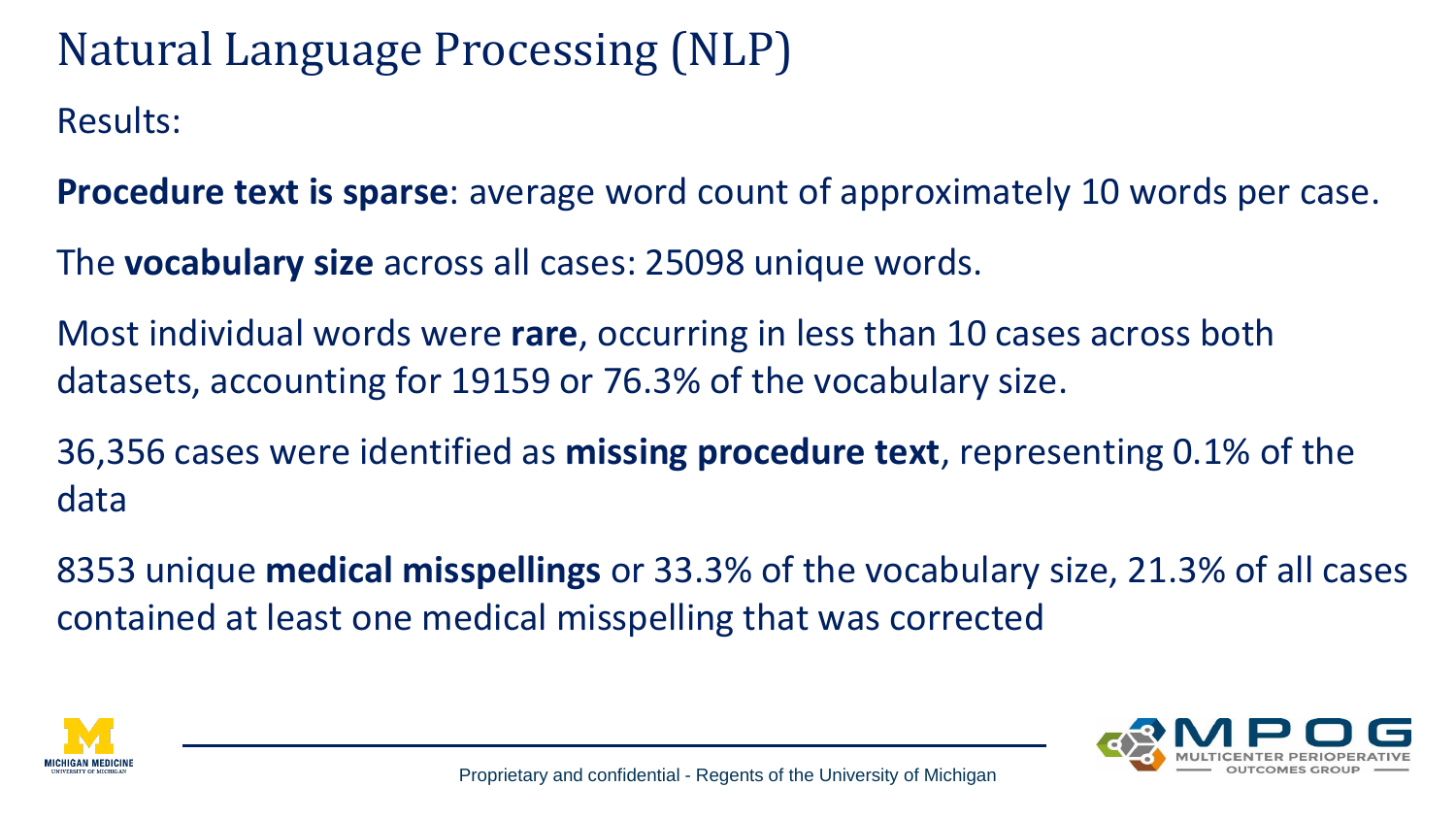Results: Natural Language Processing (NLP)

**Procedure text is sparse**: average word count of approximately 10 words per case.

The **vocabulary size** across all cases: 25098 unique words.

Most individual words were **rare**, occurring in less than 10 cases across both datasets, accounting for 19159 or 76.3% of the vocabulary size.

36,356 cases were identified as **missing procedure text**, representing 0.1% of the data

8353 unique **medical misspellings** or 33.3% of the vocabulary size, 21.3% of all cases contained at least one medical misspelling that was corrected



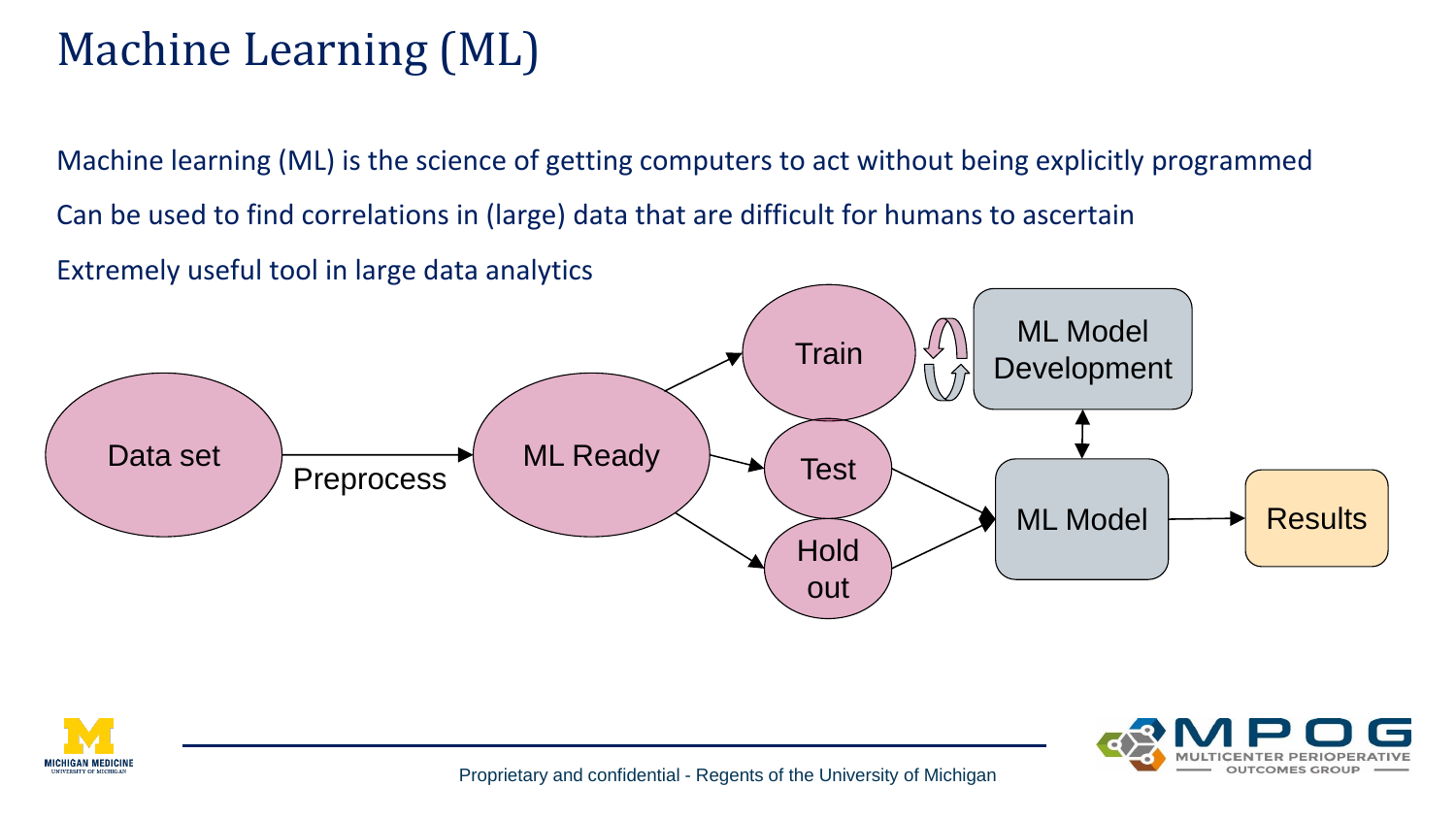# Machine Learning (ML)

Machine learning (ML) is the science of getting computers to act without being explicitly programmed Can be used to find correlations in (large) data that are difficult for humans to ascertain Extremely useful tool in large data analytics





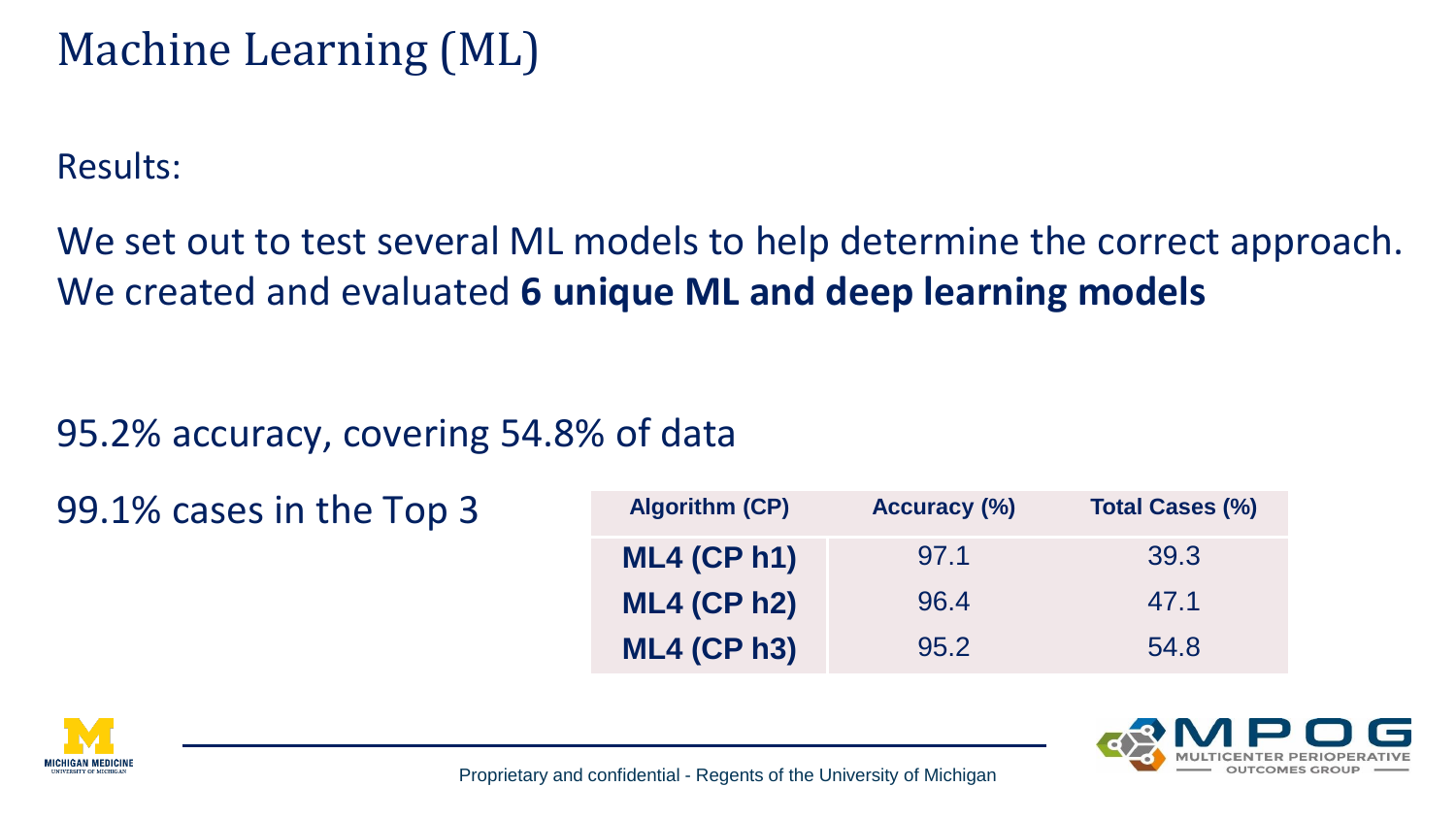## Machine Learning (ML)

Results:

We set out to test several ML models to help determine the correct approach. We created and evaluated **6 unique ML and deep learning models**

### 95.2% accuracy, covering 54.8% of data

| 99.1% cases in the Top 3 | <b>Algorithm (CP)</b> | <b>Accuracy (%)</b> | <b>Total Cases (%)</b> |
|--------------------------|-----------------------|---------------------|------------------------|
|                          | $ML4$ (CP h1)         | 97.1                | 39.3                   |
|                          | $ML4$ (CP $h2$ )      | 96.4                | 47.1                   |
|                          | <b>ML4 (CP h3)</b>    | 95.2                | 54.8                   |



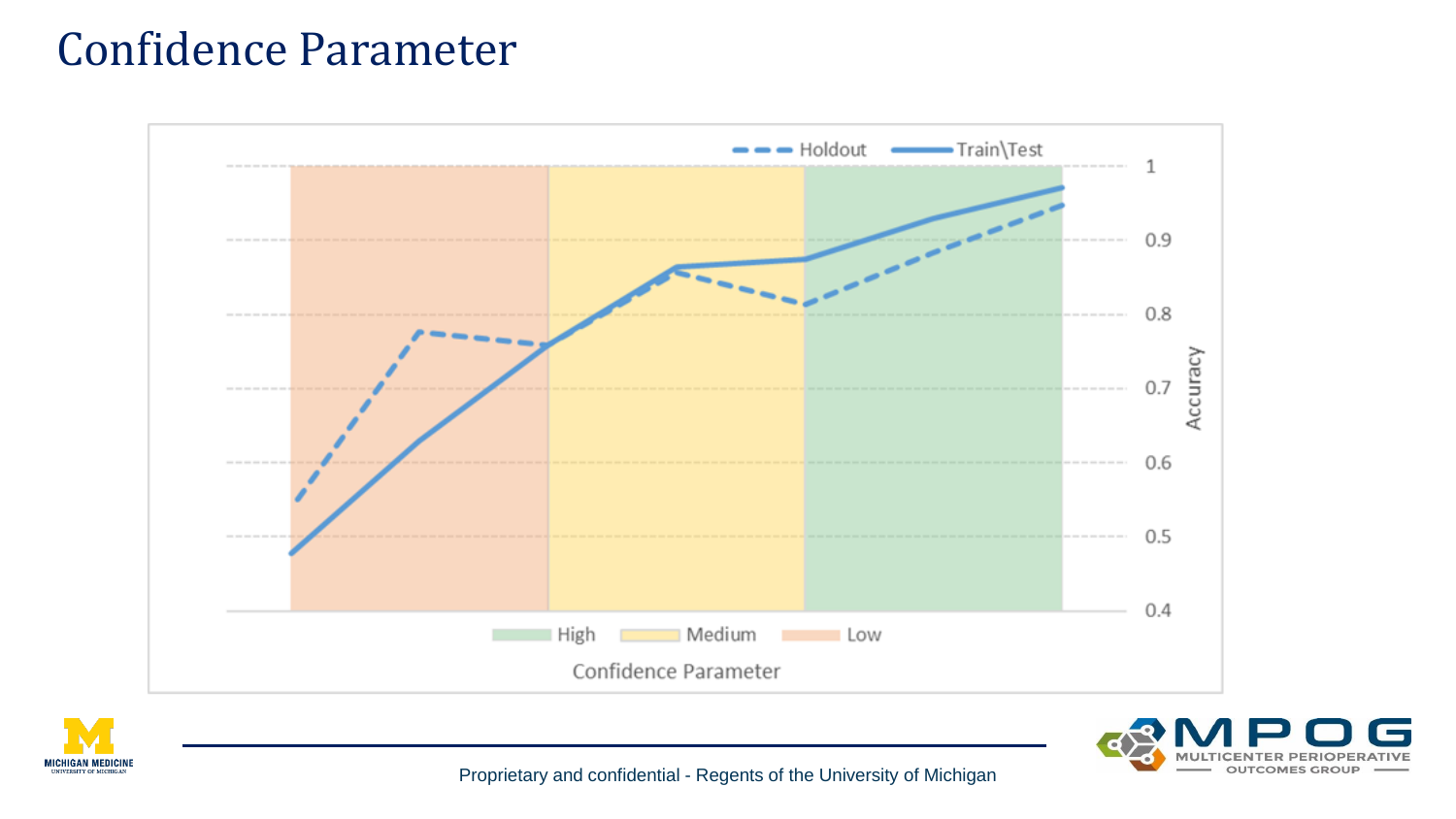## Confidence Parameter







Proprietary and confidential - Regents of the University of Michigan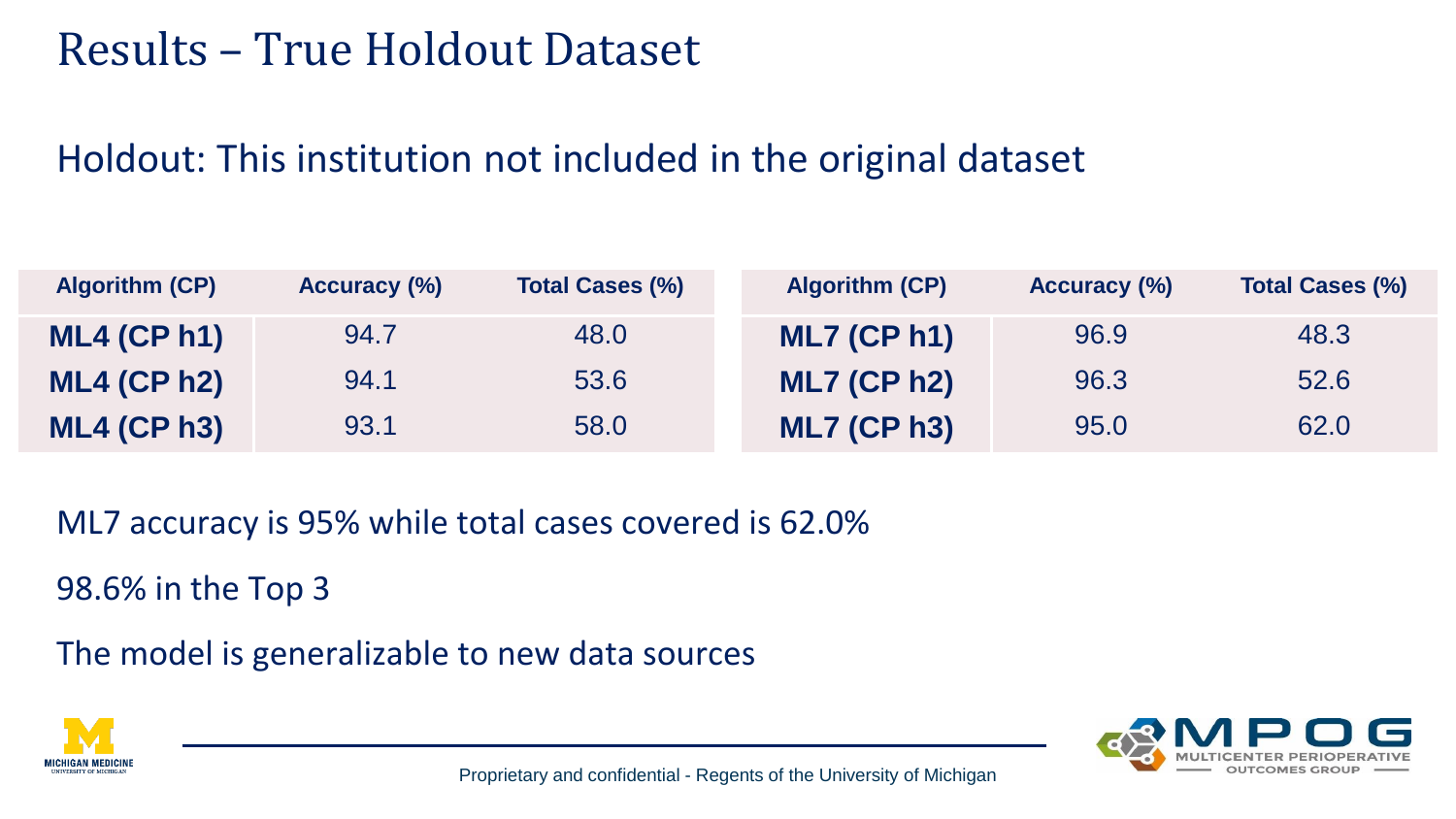## Results – True Holdout Dataset

### Holdout: This institution not included in the original dataset

| <b>Algorithm (CP)</b> | <b>Accuracy (%)</b> | <b>Total Cases (%)</b> | <b>Algorithm (CP)</b> | <b>Accuracy (%)</b> | <b>Total Cases (%)</b> |
|-----------------------|---------------------|------------------------|-----------------------|---------------------|------------------------|
| $ML4$ (CP h1)         | 94.7                | 48.0                   | $ML7$ (CP h1)         | 96.9                | 48.3                   |
| $ML4$ (CP h2)         | 94.1                | 53.6                   | <b>ML7 (CP h2)</b>    | 96.3                | 52.6                   |
| $ML4$ (CP h3)         | 93.1                | 58.0                   | <b>ML7 (CP h3)</b>    | 95.0                | 62.0                   |

ML7 accuracy is 95% while total cases covered is 62.0%

98.6% in the Top 3

The model is generalizable to new data sources



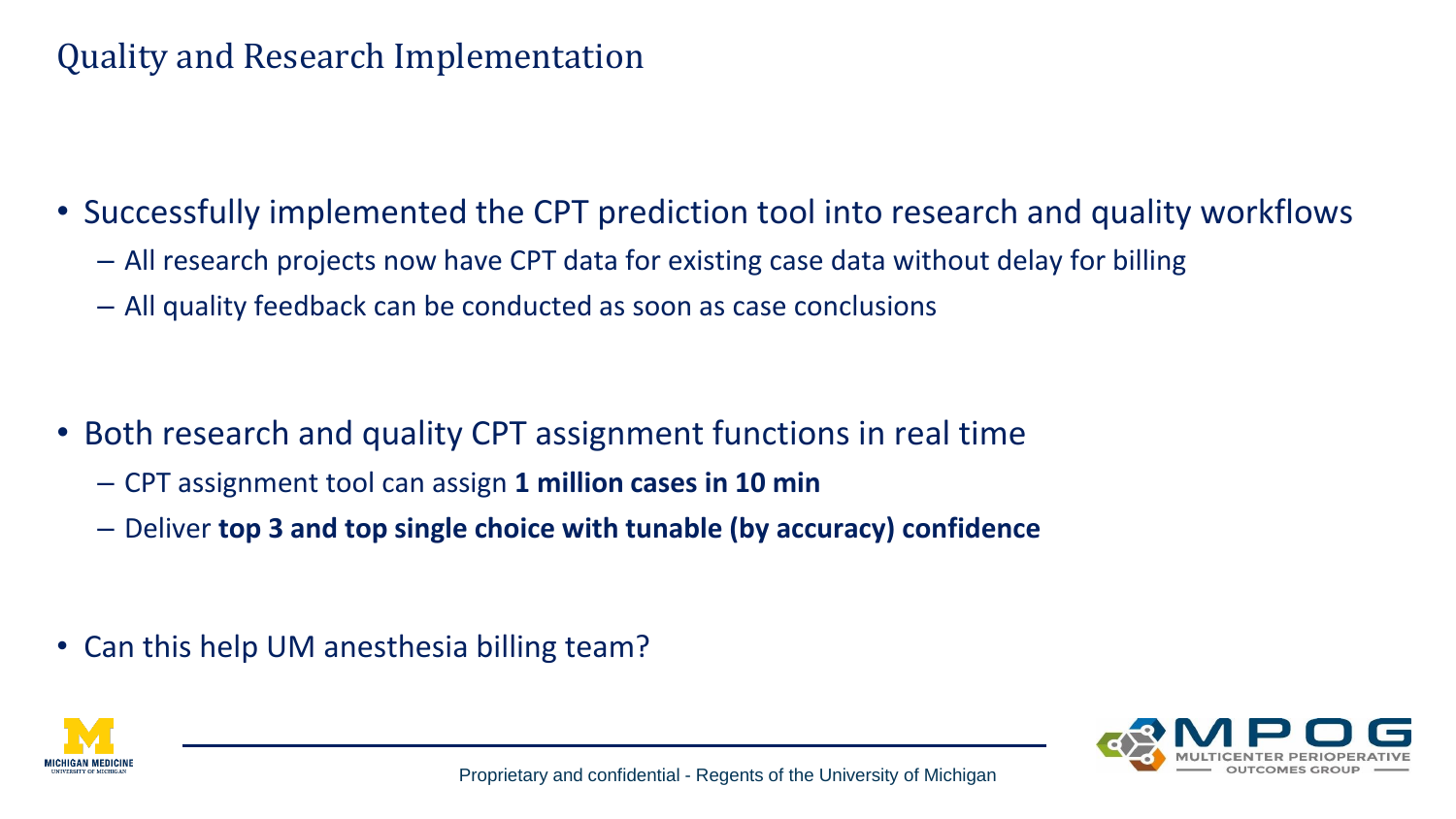### Quality and Research Implementation

- Successfully implemented the CPT prediction tool into research and quality workflows
	- All research projects now have CPT data for existing case data without delay for billing
	- All quality feedback can be conducted as soon as case conclusions

- Both research and quality CPT assignment functions in real time
	- CPT assignment tool can assign **1 million cases in 10 min**
	- Deliver **top 3 and top single choice with tunable (by accuracy) confidence**

• Can this help UM anesthesia billing team?



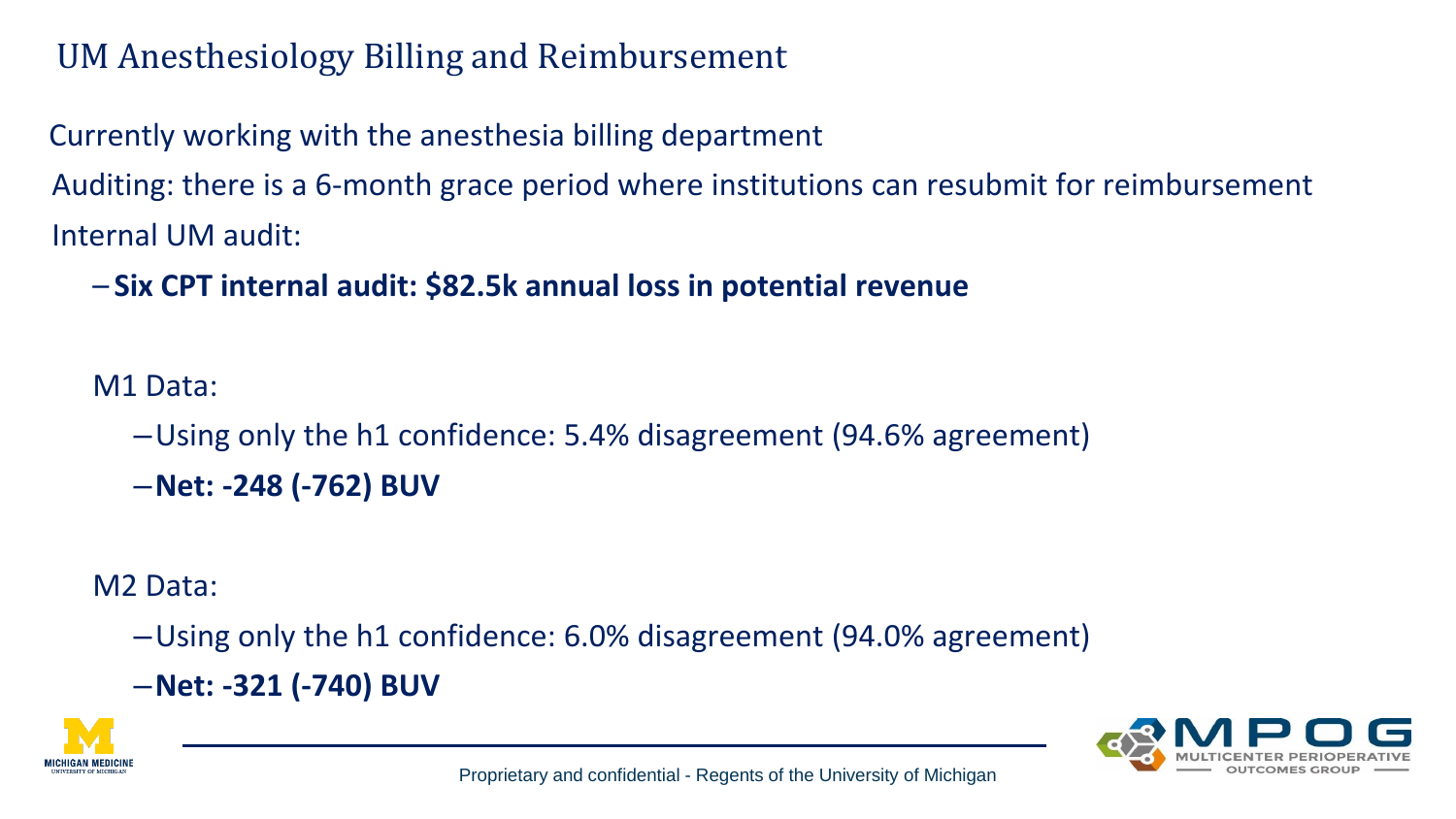### UM Anesthesiology Billing and Reimbursement

Currently working with the anesthesia billing department Auditing: there is a 6-month grace period where institutions can resubmit for reimbursement Internal UM audit:

– **Six CPT internal audit: \$82.5k annual loss in potential revenue**

M1 Data:

–Using only the h1 confidence: 5.4% disagreement (94.6% agreement)

–**Net: -248 (-762) BUV**

M2 Data:

–Using only the h1 confidence: 6.0% disagreement (94.0% agreement)

–**Net: -321 (-740) BUV**



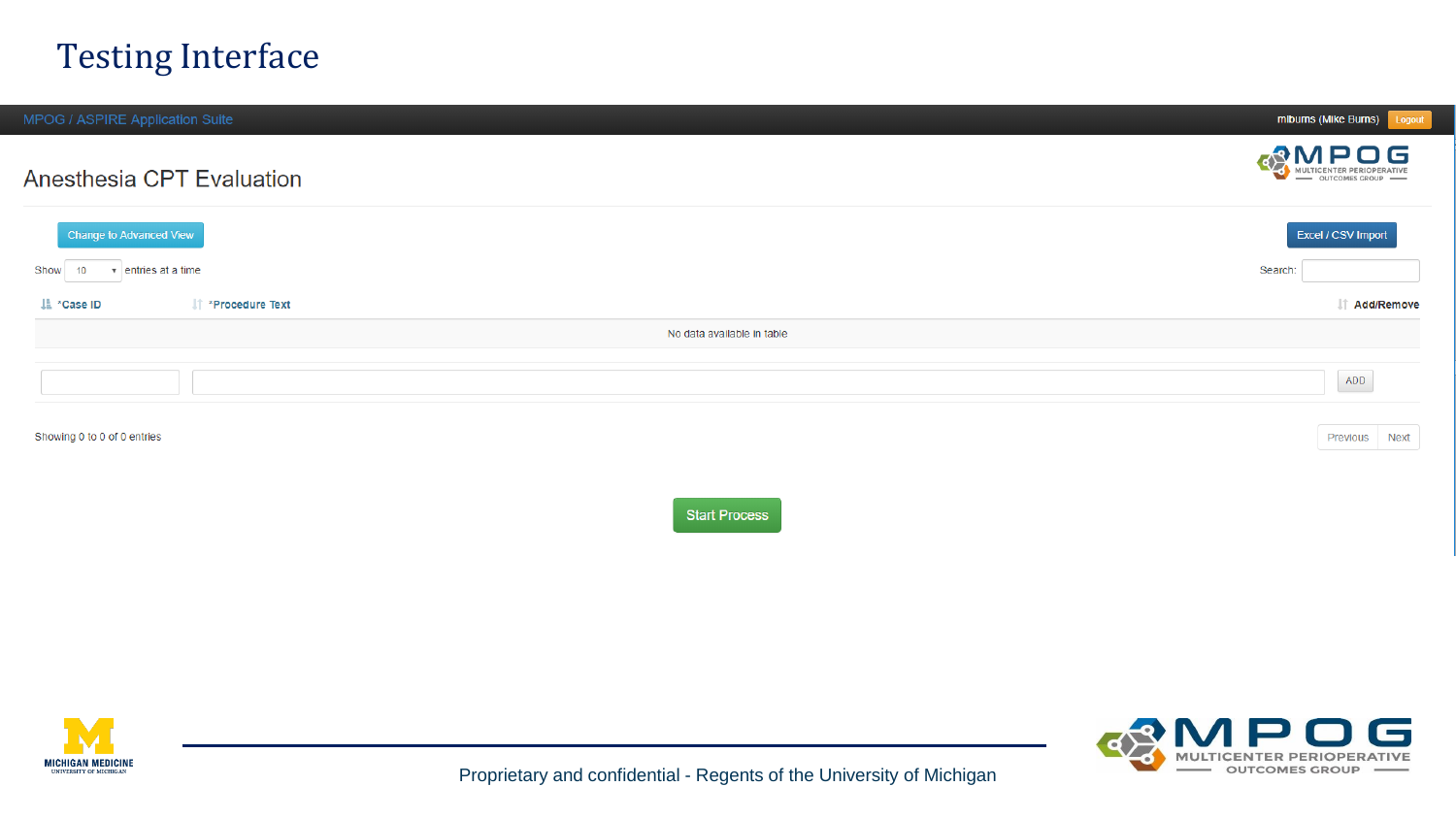#### Testing Interface

| MPOG / ASPIRE Application Suite |                                |                            | mlburns (Mike Burns) Logout                               |
|---------------------------------|--------------------------------|----------------------------|-----------------------------------------------------------|
|                                 | Anesthesia CPT Evaluation      |                            | <b>CONTRESS DESCRIPTION AND MULTICENTER PERIOPERATIVE</b> |
| Change to Advanced View         |                                |                            | Excel / CSV Import                                        |
| Show<br>10                      | $\mathbf{v}$ entries at a time |                            | Search:                                                   |
| La *Case ID                     | If *Procedure Text             |                            | IT Add/Remove                                             |
|                                 |                                | No data available in table |                                                           |
|                                 |                                |                            | ADD                                                       |
| Showing 0 to 0 of 0 entries     |                                |                            | Previous Next                                             |
|                                 |                                | <b>Start Process</b>       |                                                           |
|                                 |                                |                            |                                                           |
|                                 |                                |                            |                                                           |
|                                 |                                |                            |                                                           |
|                                 |                                |                            |                                                           |



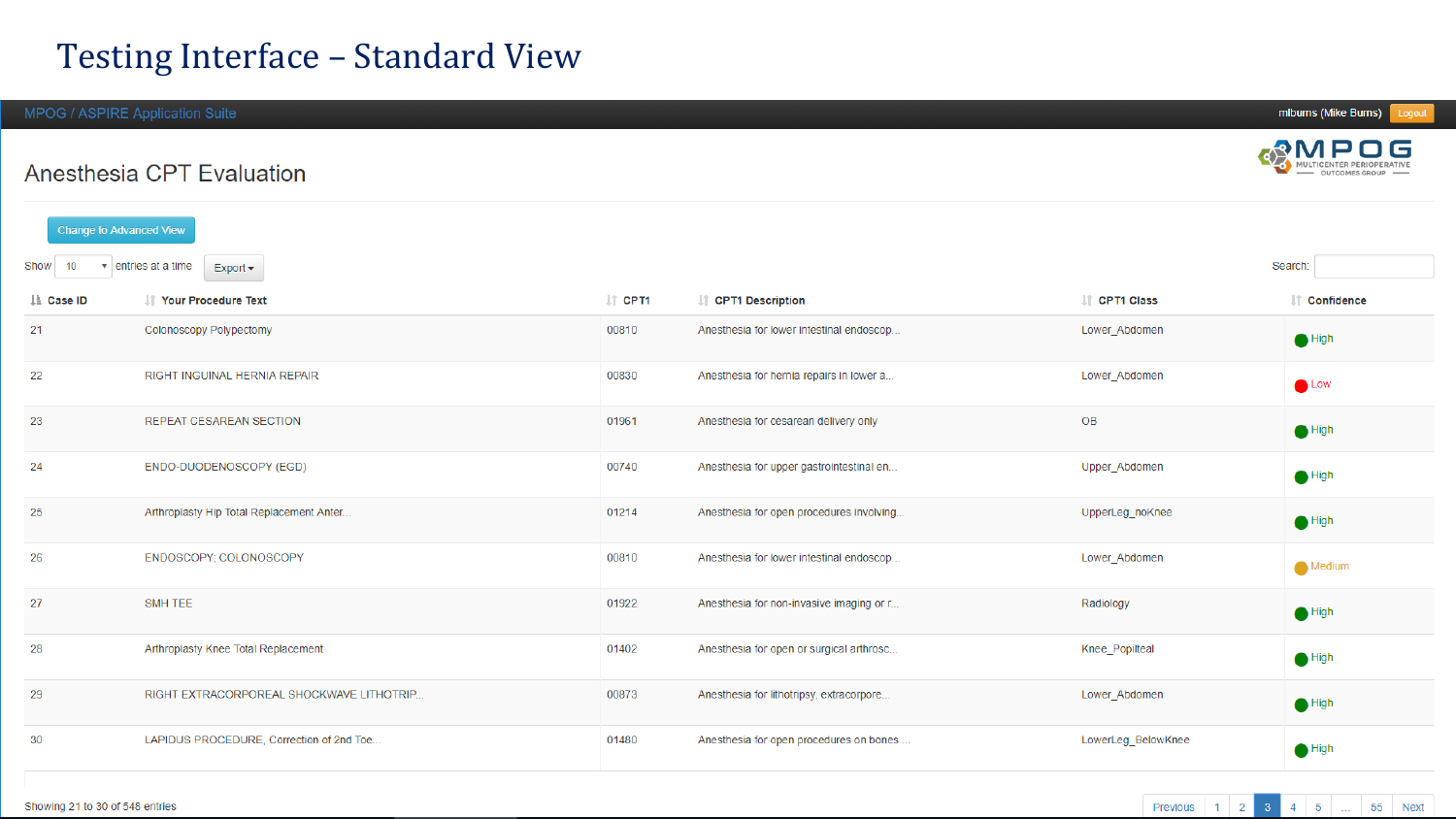#### Testing Interface – Standard View

MPOG / ASPIRE Application Suite

Anesthesia CPT Evaluation

| <b>Change to Advanced View</b> |                                                      |                    |                                          |                      |                 |  |  |  |  |  |
|--------------------------------|------------------------------------------------------|--------------------|------------------------------------------|----------------------|-----------------|--|--|--|--|--|
| Show<br>10                     | Search:<br>$\bullet$ entries at a time<br>$Export -$ |                    |                                          |                      |                 |  |  |  |  |  |
| LE Case ID                     | IT Your Procedure Text                               | $\  \cdot \ $ CPT1 | L† CPT1 Description                      | <b>IT CPT1 Class</b> | It Confidence   |  |  |  |  |  |
| 21                             | Colonoscopy Polypectomy                              | 00810              | Anesthesia for lower intestinal endoscop | Lower_Abdomen        | $\bigodot$ High |  |  |  |  |  |
| 22                             | RIGHT INGUINAL HERNIA REPAIR                         | 00830              | Anesthesia for hernia repairs in lower a | Lower Abdomen        | $\bullet$ Low   |  |  |  |  |  |
| 23                             | <b>REPEAT CESAREAN SECTION</b>                       | 01961              | Anesthesia for cesarean delivery only    | <b>OB</b>            | $\bigcirc$ High |  |  |  |  |  |
| 24                             | ENDO-DUODENOSCOPY (EGD)                              | 00740              | Anesthesia for upper gastrointestinal en | Upper_Abdomen        | $\bigcirc$ High |  |  |  |  |  |
| 25                             | Arthroplasty Hip Total Replacement Anter             | 01214              | Anesthesia for open procedures involving | UpperLeg_noKnee      | $\bigodot$ High |  |  |  |  |  |
| 26                             | ENDOSCOPY; COLONOSCOPY                               | 00810              | Anesthesia for lower intestinal endoscop | Lower_Abdomen        | Medium          |  |  |  |  |  |
| 27                             | SMH TEE                                              | 01922              | Anesthesia for non-invasive imaging or r | Radiology            | $\bigodot$ High |  |  |  |  |  |
| 28                             | Arthroplasty Knee Total Replacement                  | 01402              | Anesthesia for open or surgical arthrosc | Knee_Popilteal       | $\bigcirc$ High |  |  |  |  |  |
| 29                             | RIGHT EXTRACORPOREAL SHOCKWAVE LITHOTRIP             | 00873              | Anesthesia for lithotripsy, extracorpore | Lower_Abdomen        | $\bigcirc$ High |  |  |  |  |  |
| 30                             | LAPIDUS PROCEDURE, Correction of 2nd Toe             | 01480              | Anesthesia for open procedures on bones  | LowerLeg_BelowKnee   | $\bigcirc$ High |  |  |  |  |  |





**OUTCOMES GROUP**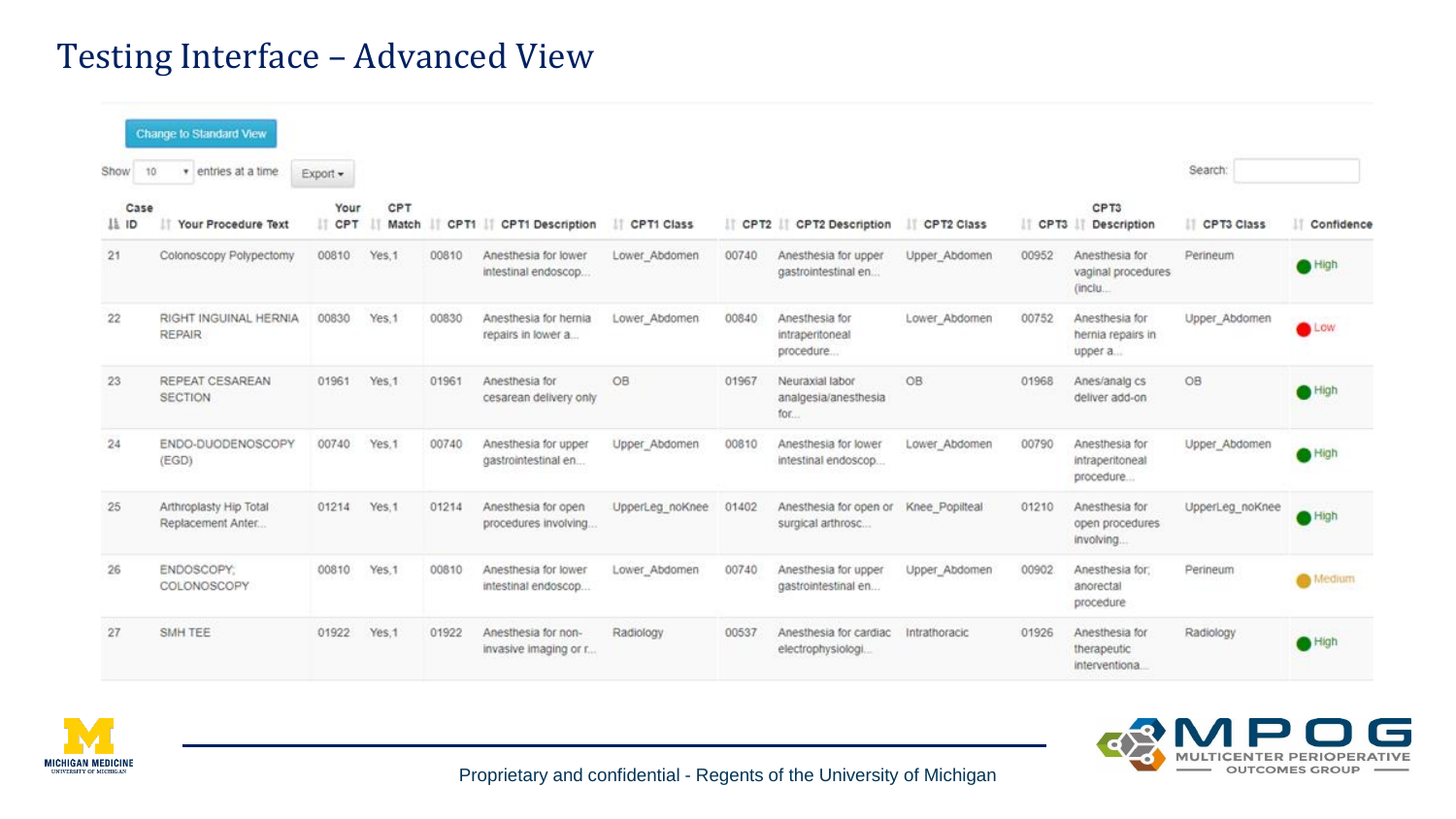#### Testing Interface – Advanced View

| Show          | Change to Standard View<br>10<br>entries at a time<br>٠ | Export -      |                   |       |                                              |                       |            |                                                |                       |            |                                                 | Search:             |               |               |
|---------------|---------------------------------------------------------|---------------|-------------------|-------|----------------------------------------------|-----------------------|------------|------------------------------------------------|-----------------------|------------|-------------------------------------------------|---------------------|---------------|---------------|
| Case<br>IL ID | Your Procedure Text                                     | Your<br>I CPT | CPT<br>Match<br>w |       |                                              | CPT1 CPT1 Description | CPT1 Class |                                                | CPT2 CPT2 Description | CPT2 Class | CPT3                                            | CPT3<br>Description | IT CPT3 Class | Il Confidence |
| 21            | Colonoscopy Polypectomy                                 | 00810         | Yes.1             | 00810 | Anesthesia for lower<br>intestinal endoscop  | Lower Abdomen         | 00740      | Anesthesia for upper<br>gastrointestinal en    | Upper Abdomen         | 00952      | Anesthesia for<br>vaginal procedures<br>(inclu  | Perineum            | High          |               |
| 22            | RIGHT INGUINAL HERNIA<br><b>REPAIR</b>                  | 00830         | Yes.1             | 00830 | Anesthesia for hernia<br>repairs in lower a  | Lower Abdomen         | 00840      | Anesthesia for<br>intraperitoneal<br>procedure | Lower Abdomen         | 00752      | Anesthesia for<br>hernia repairs in<br>upper a  | Upper_Abdomen       | Low           |               |
| 23            | REPEAT CESAREAN<br><b>SECTION</b>                       | 01961         | Yes.1             | 01961 | Anesthesia for<br>cesarean delivery only     | OB                    | 01967      | Neuraxial labor<br>analgesia/anesthesia<br>for | OB                    | 01968      | Anes/analg cs<br>deliver add-on                 | OB                  | High          |               |
| 24            | ENDO-DUODENOSCOPY<br>(EGD)                              | 00740         | Yes.1             | 00740 | Anesthesia for upper<br>gastrointestinal en  | Upper Abdomen         | 00810      | Anesthesia for lower<br>intestinal endoscop    | Lower Abdomen         | 00790      | Anesthesia for<br>intraperitoneal<br>procedure  | Upper_Abdomen       | High          |               |
| 25            | Arthroplasty Hip Total<br>Replacement Anter             | 01214         | Yes, 1            | 01214 | Anesthesia for open<br>procedures involving  | UpperLeg noKnee       | 01402      | Anesthesia for open or<br>surgical arthrosc    | Knee Popilteal        | 01210      | Anesthesia for<br>open procedures<br>involving  | UpperLeg_noKnee     | High          |               |
| 26            | ENDOSCOPY:<br>COLONOSCOPY                               | 00810         | Yes.1             | 00810 | Anesthesia for lower<br>intestinal endoscop  | Lower_Abdomen         | 00740      | Anesthesia for upper<br>gastrointestinal en    | Upper_Abdomen         | 00902      | Anesthesia for:<br>anorectal<br>procedure       | Perineum            | Medium        |               |
| 27            | SMH TEE                                                 | 01922         | Yes:1             | 01922 | Anesthesia for non-<br>invasive imaging or r | Radiology             | 00537      | Anesthesia for cardiac<br>electrophysiologi    | Intrathoracic         | 01926      | Anesthesia for<br>therapeutic<br>interventiona. | Radiology           | High          |               |





Proprietary and confidential - Regents of the University of Michigan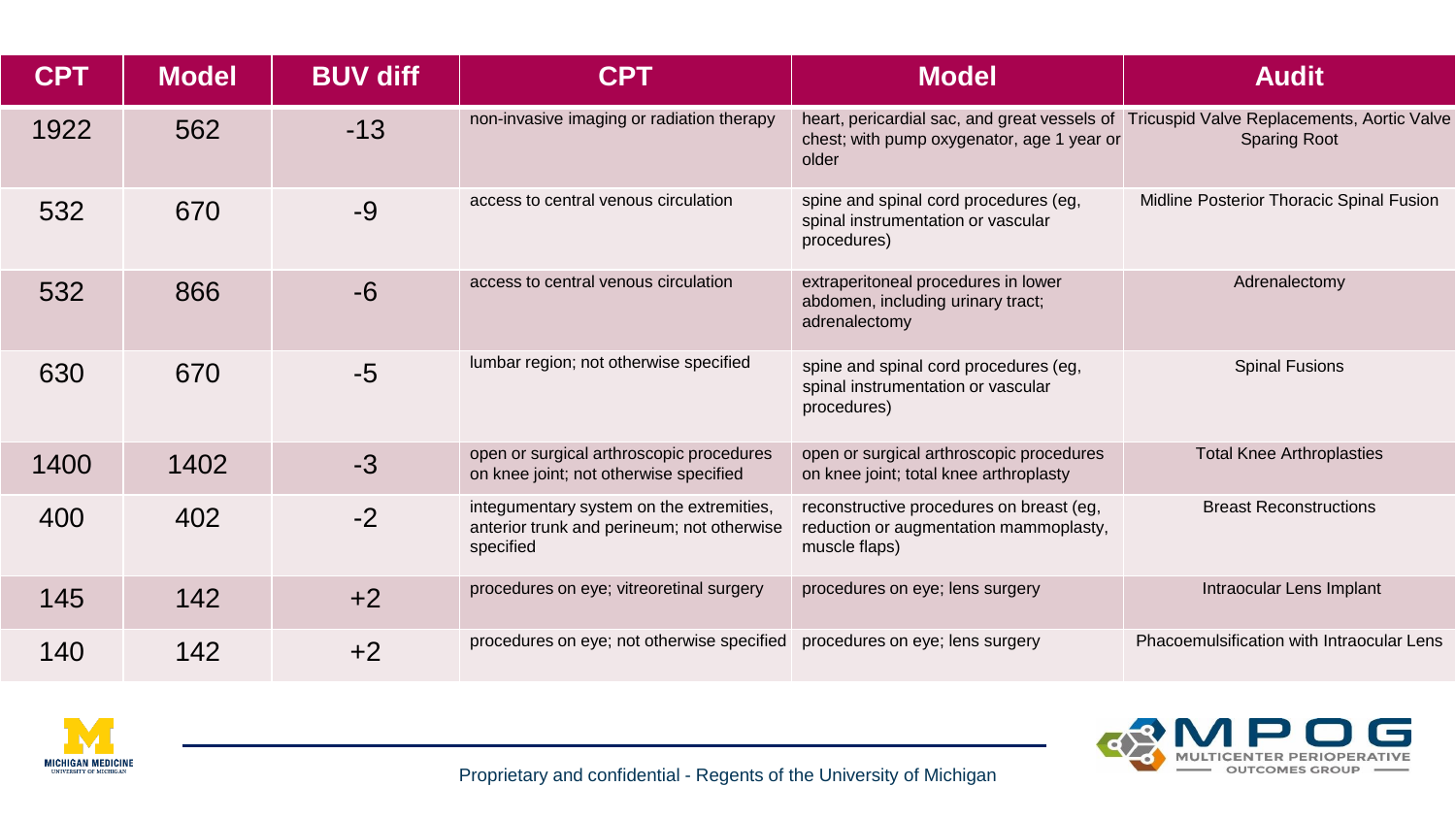| <b>CPT</b> | <b>Model</b> | <b>BUV diff</b> | <b>CPT</b>                                                                                          | <b>Model</b>                                                                                        | <b>Audit</b>                                                                                                   |
|------------|--------------|-----------------|-----------------------------------------------------------------------------------------------------|-----------------------------------------------------------------------------------------------------|----------------------------------------------------------------------------------------------------------------|
| 1922       | 562          | $-13$           | non-invasive imaging or radiation therapy                                                           | chest; with pump oxygenator, age 1 year or<br>older                                                 | heart, pericardial sac, and great vessels of Tricuspid Valve Replacements, Aortic Valve<br><b>Sparing Root</b> |
| 532        | 670          | $-9$            | access to central venous circulation                                                                | spine and spinal cord procedures (eg,<br>spinal instrumentation or vascular<br>procedures)          | Midline Posterior Thoracic Spinal Fusion                                                                       |
| 532        | 866          | $-6$            | access to central venous circulation                                                                | extraperitoneal procedures in lower<br>abdomen, including urinary tract;<br>adrenalectomy           | Adrenalectomy                                                                                                  |
| 630        | 670          | $-5$            | lumbar region; not otherwise specified                                                              | spine and spinal cord procedures (eg,<br>spinal instrumentation or vascular<br>procedures)          | <b>Spinal Fusions</b>                                                                                          |
| 1400       | 1402         | $-3$            | open or surgical arthroscopic procedures<br>on knee joint; not otherwise specified                  | open or surgical arthroscopic procedures<br>on knee joint; total knee arthroplasty                  | <b>Total Knee Arthroplasties</b>                                                                               |
| 400        | 402          | $-2$            | integumentary system on the extremities,<br>anterior trunk and perineum; not otherwise<br>specified | reconstructive procedures on breast (eg,<br>reduction or augmentation mammoplasty,<br>muscle flaps) | <b>Breast Reconstructions</b>                                                                                  |
| 145        | 142          | $+2$            | procedures on eye; vitreoretinal surgery                                                            | procedures on eye; lens surgery                                                                     | Intraocular Lens Implant                                                                                       |
| 140        | 142          | $+2$            | procedures on eye; not otherwise specified                                                          | procedures on eye; lens surgery                                                                     | Phacoemulsification with Intraocular Lens                                                                      |



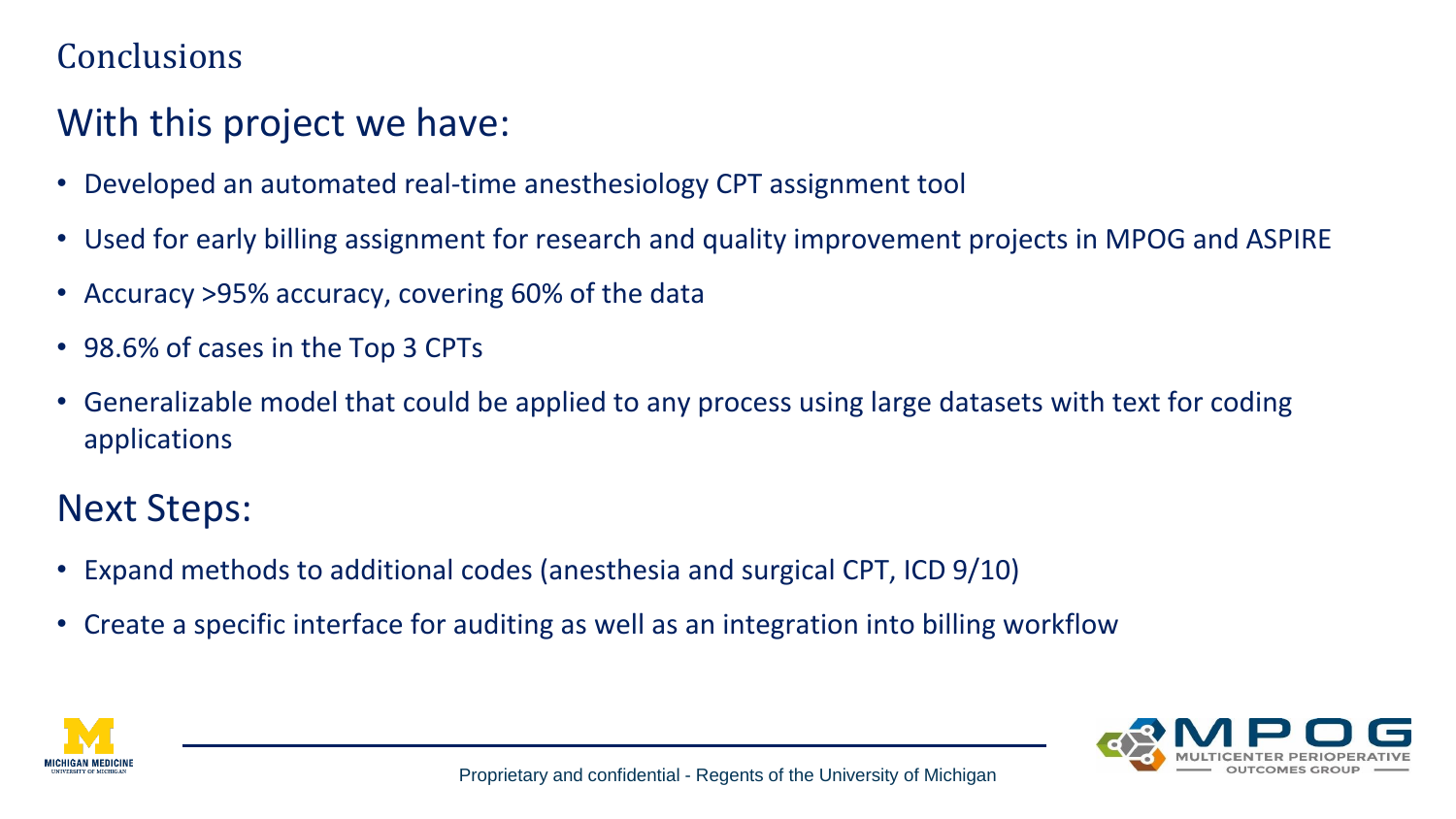### **Conclusions**

### With this project we have:

- Developed an automated real-time anesthesiology CPT assignment tool
- Used for early billing assignment for research and quality improvement projects in MPOG and ASPIRE
- Accuracy >95% accuracy, covering 60% of the data
- 98.6% of cases in the Top 3 CPTs
- Generalizable model that could be applied to any process using large datasets with text for coding applications

### Next Steps:

- Expand methods to additional codes (anesthesia and surgical CPT, ICD 9/10)
- Create a specific interface for auditing as well as an integration into billing workflow